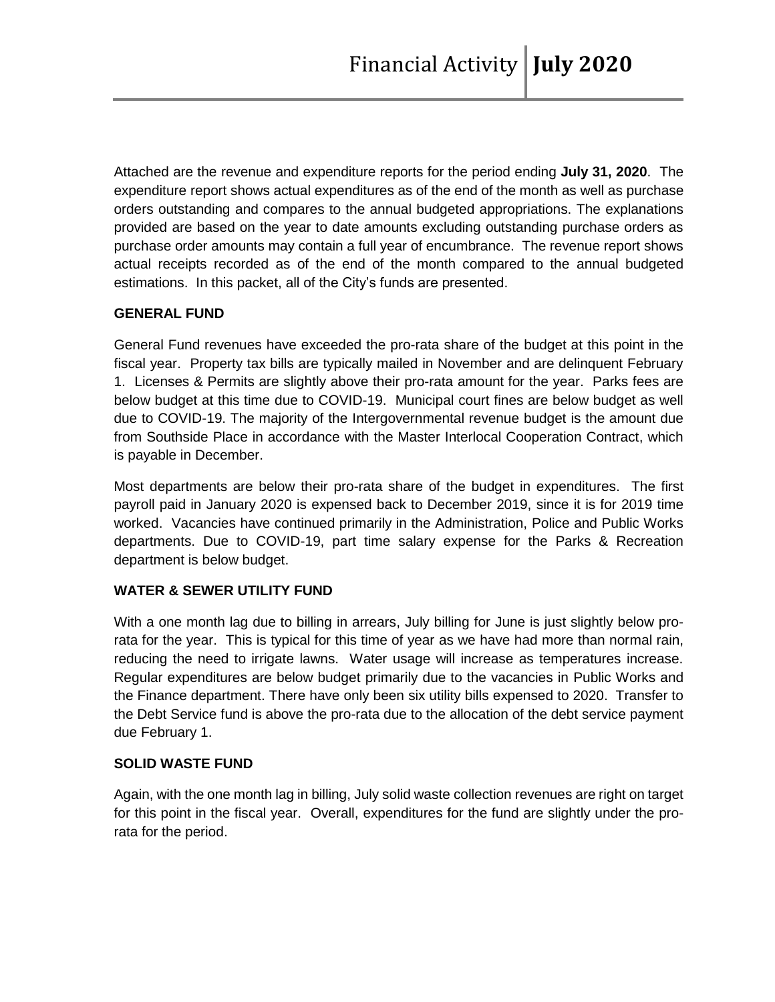Attached are the revenue and expenditure reports for the period ending **July 31, 2020**. The expenditure report shows actual expenditures as of the end of the month as well as purchase orders outstanding and compares to the annual budgeted appropriations. The explanations provided are based on the year to date amounts excluding outstanding purchase orders as purchase order amounts may contain a full year of encumbrance. The revenue report shows actual receipts recorded as of the end of the month compared to the annual budgeted estimations. In this packet, all of the City's funds are presented.

## **GENERAL FUND**

General Fund revenues have exceeded the pro-rata share of the budget at this point in the fiscal year. Property tax bills are typically mailed in November and are delinquent February 1. Licenses & Permits are slightly above their pro-rata amount for the year. Parks fees are below budget at this time due to COVID-19. Municipal court fines are below budget as well due to COVID-19. The majority of the Intergovernmental revenue budget is the amount due from Southside Place in accordance with the Master Interlocal Cooperation Contract, which is payable in December.

Most departments are below their pro-rata share of the budget in expenditures. The first payroll paid in January 2020 is expensed back to December 2019, since it is for 2019 time worked. Vacancies have continued primarily in the Administration, Police and Public Works departments. Due to COVID-19, part time salary expense for the Parks & Recreation department is below budget.

## **WATER & SEWER UTILITY FUND**

With a one month lag due to billing in arrears, July billing for June is just slightly below prorata for the year. This is typical for this time of year as we have had more than normal rain, reducing the need to irrigate lawns. Water usage will increase as temperatures increase. Regular expenditures are below budget primarily due to the vacancies in Public Works and the Finance department. There have only been six utility bills expensed to 2020. Transfer to the Debt Service fund is above the pro-rata due to the allocation of the debt service payment due February 1.

## **SOLID WASTE FUND**

Again, with the one month lag in billing, July solid waste collection revenues are right on target for this point in the fiscal year. Overall, expenditures for the fund are slightly under the prorata for the period.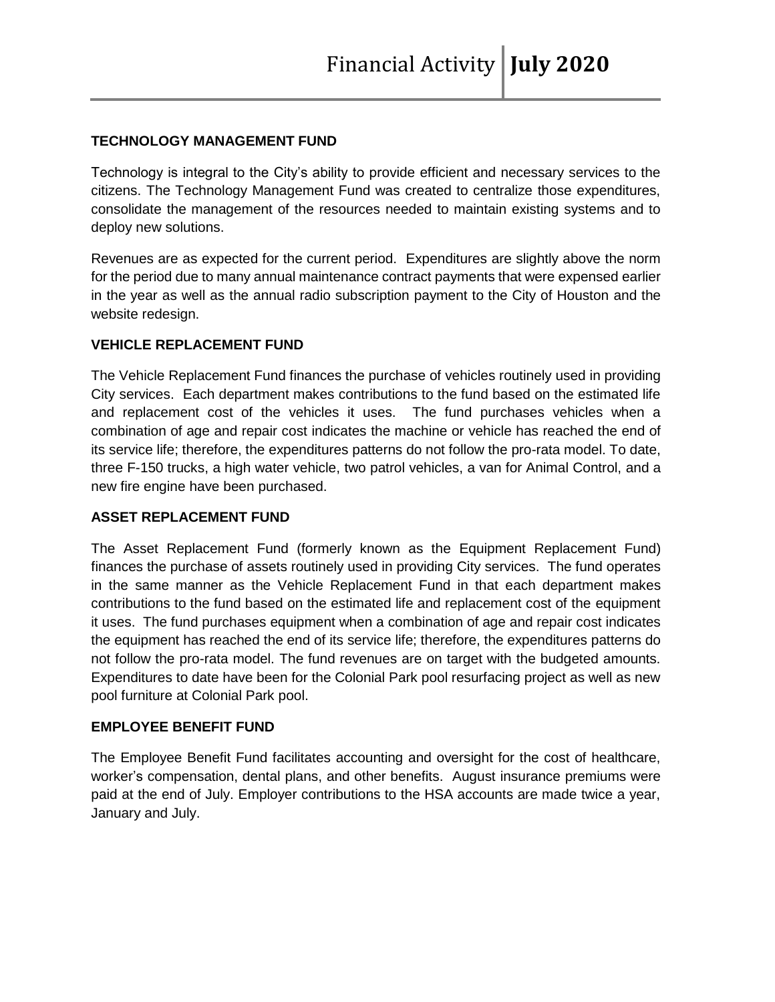# **TECHNOLOGY MANAGEMENT FUND**

Technology is integral to the City's ability to provide efficient and necessary services to the citizens. The Technology Management Fund was created to centralize those expenditures, consolidate the management of the resources needed to maintain existing systems and to deploy new solutions.

Revenues are as expected for the current period. Expenditures are slightly above the norm for the period due to many annual maintenance contract payments that were expensed earlier in the year as well as the annual radio subscription payment to the City of Houston and the website redesign.

## **VEHICLE REPLACEMENT FUND**

The Vehicle Replacement Fund finances the purchase of vehicles routinely used in providing City services. Each department makes contributions to the fund based on the estimated life and replacement cost of the vehicles it uses. The fund purchases vehicles when a combination of age and repair cost indicates the machine or vehicle has reached the end of its service life; therefore, the expenditures patterns do not follow the pro-rata model. To date, three F-150 trucks, a high water vehicle, two patrol vehicles, a van for Animal Control, and a new fire engine have been purchased.

## **ASSET REPLACEMENT FUND**

The Asset Replacement Fund (formerly known as the Equipment Replacement Fund) finances the purchase of assets routinely used in providing City services. The fund operates in the same manner as the Vehicle Replacement Fund in that each department makes contributions to the fund based on the estimated life and replacement cost of the equipment it uses. The fund purchases equipment when a combination of age and repair cost indicates the equipment has reached the end of its service life; therefore, the expenditures patterns do not follow the pro-rata model. The fund revenues are on target with the budgeted amounts. Expenditures to date have been for the Colonial Park pool resurfacing project as well as new pool furniture at Colonial Park pool.

## **EMPLOYEE BENEFIT FUND**

The Employee Benefit Fund facilitates accounting and oversight for the cost of healthcare, worker's compensation, dental plans, and other benefits. August insurance premiums were paid at the end of July. Employer contributions to the HSA accounts are made twice a year, January and July.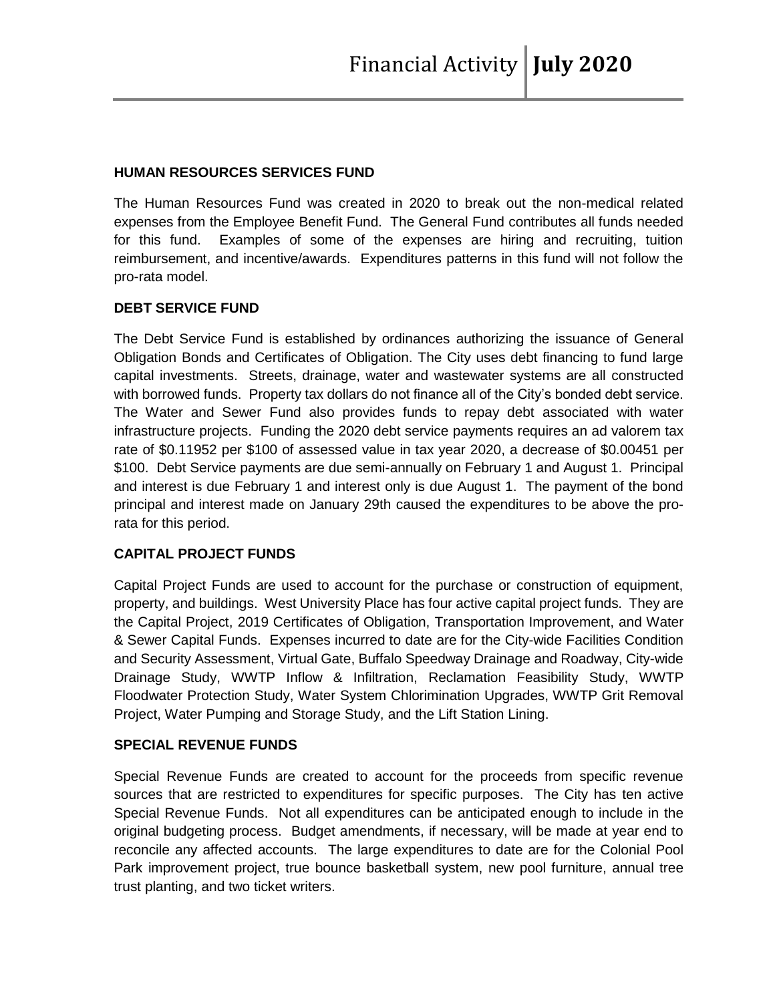#### **HUMAN RESOURCES SERVICES FUND**

The Human Resources Fund was created in 2020 to break out the non-medical related expenses from the Employee Benefit Fund. The General Fund contributes all funds needed for this fund. Examples of some of the expenses are hiring and recruiting, tuition reimbursement, and incentive/awards. Expenditures patterns in this fund will not follow the pro-rata model.

## **DEBT SERVICE FUND**

The Debt Service Fund is established by ordinances authorizing the issuance of General Obligation Bonds and Certificates of Obligation. The City uses debt financing to fund large capital investments. Streets, drainage, water and wastewater systems are all constructed with borrowed funds. Property tax dollars do not finance all of the City's bonded debt service. The Water and Sewer Fund also provides funds to repay debt associated with water infrastructure projects. Funding the 2020 debt service payments requires an ad valorem tax rate of \$0.11952 per \$100 of assessed value in tax year 2020, a decrease of \$0.00451 per \$100. Debt Service payments are due semi-annually on February 1 and August 1. Principal and interest is due February 1 and interest only is due August 1. The payment of the bond principal and interest made on January 29th caused the expenditures to be above the prorata for this period.

## **CAPITAL PROJECT FUNDS**

Capital Project Funds are used to account for the purchase or construction of equipment, property, and buildings. West University Place has four active capital project funds. They are the Capital Project, 2019 Certificates of Obligation, Transportation Improvement, and Water & Sewer Capital Funds. Expenses incurred to date are for the City-wide Facilities Condition and Security Assessment, Virtual Gate, Buffalo Speedway Drainage and Roadway, City-wide Drainage Study, WWTP Inflow & Infiltration, Reclamation Feasibility Study, WWTP Floodwater Protection Study, Water System Chlorimination Upgrades, WWTP Grit Removal Project, Water Pumping and Storage Study, and the Lift Station Lining.

## **SPECIAL REVENUE FUNDS**

Special Revenue Funds are created to account for the proceeds from specific revenue sources that are restricted to expenditures for specific purposes. The City has ten active Special Revenue Funds. Not all expenditures can be anticipated enough to include in the original budgeting process. Budget amendments, if necessary, will be made at year end to reconcile any affected accounts. The large expenditures to date are for the Colonial Pool Park improvement project, true bounce basketball system, new pool furniture, annual tree trust planting, and two ticket writers.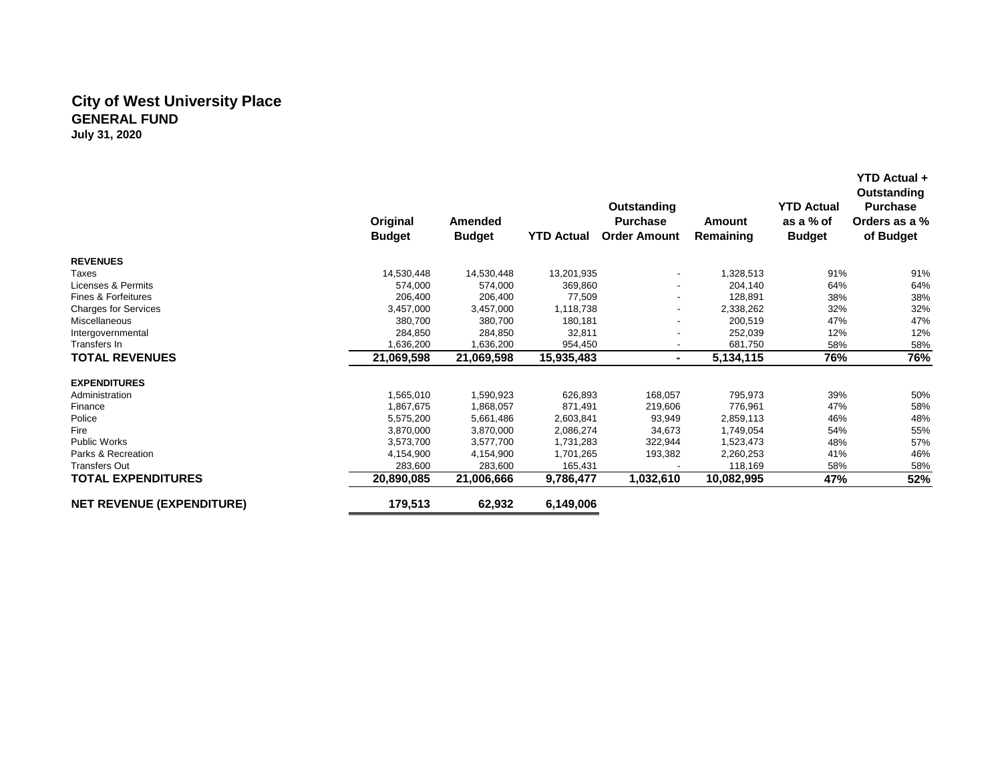#### **City of West University Place GENERAL FUND July 31, 2020**

 **Original Budget Amended Budget YTD Actual Order Amount Outstanding Purchase Amount Remaining YTD Actual as a % of Budget Outstanding Purchase Orders as a % of Budget REVENUES** Taxes 14,530,448 14,530,448 13,201,935 - 1,328,513 91% 91% Licenses & Permits 574,000 574,000 369,860 - 204,140 64% 64% Fines & Forfeitures 206,400 206,400 77,509 - 128,891 38% 38% Charges for Services 3,457,000 3,457,000 1,118,738 2,338,262 32% 32% 32% Miscellaneous 380,700 180,181 200,519 47% 47% Intergovernmental 284,850 284,850 32,811 - 252,039 12% 12% Transfers In 1,636,200 1,636,200 1,636,200 954,450 - 681,750 58% 58% 58% 58% 58% **TOTAL REVENUES 21,069,598 21,069,598 15,935,483 - 5,134,115 76% 76% EXPENDITURES** Administration 1,565,010 1,590,923 626,893 168,057 795,973 39% 50% Finance 1,867,675 1,868,057 871,491 219,606 776,961 47% 58% Police 5,575,200 5,661,486 2,603,841 93,949 2,859,113 46% 48% Fire 3,870,000 3,870,000 2,086,274 34,673 1,749,054 54% 55% Public Works 3,573,700 3,577,700 1,731,283 322,944 1,523,473 48% 57% Parks & Recreation 4,154,900 4,154,900 1,701,265 193,382 2,260,253 41% 46% Transfers Out 283,600 283,600 165,431 - 118,169 58% 58% **TOTAL EXPENDITURES 20,890,085 21,006,666 9,786,477 1,032,610 10,082,995 47% 52% NET REVENUE (EXPENDITURE) 179,513 62,932 6,149,006**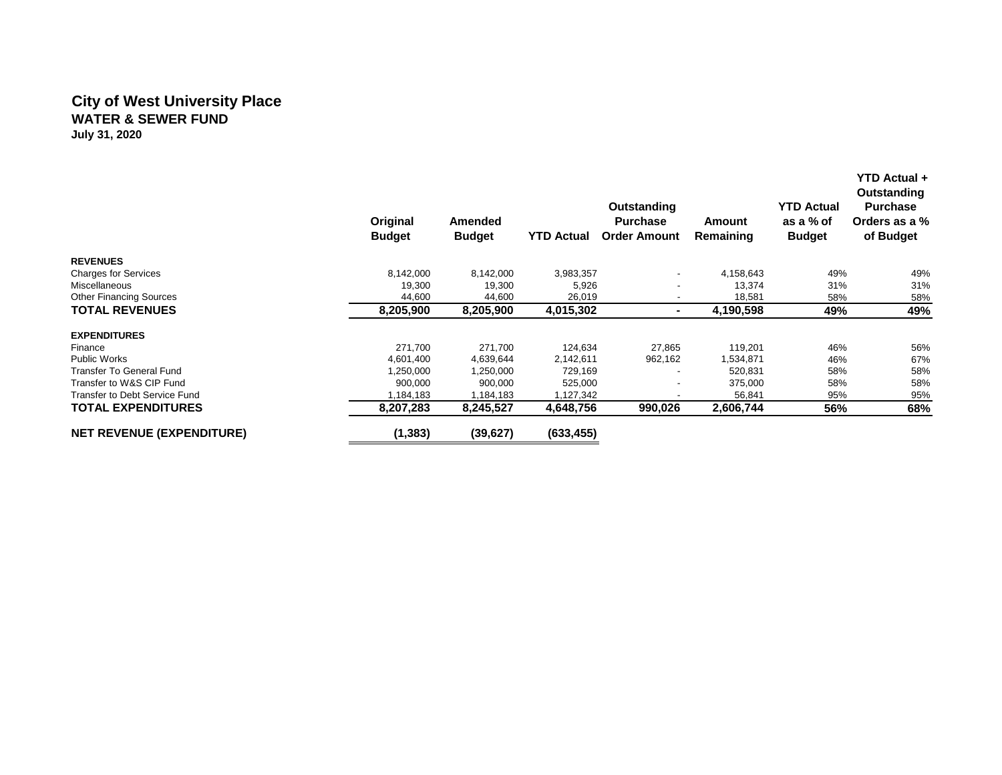#### **City of West University Place WATER & SEWER FUND July 31, 2020**

 **Original Budget Amended Budget YTD Actual Order Amount Outstanding Purchase Amount Remaining YTD Actual as a % of Budget YTD Actual + Outstanding Purchase Orders as a % of Budget REVENUES** Charges for Services 8,142,000 8,142,000 3,983,357 4,158,643 49% 49% Miscellaneous 19,300 19,300 5,926 - 13,374 31% 31% Other Financing Sources 44,600 44,600 26,019 - 18,581 58% 58% **TOTAL REVENUES 8,205,900 8,205,900 4,015,302 - 4,190,598 49% 49% EXPENDITURES** Finance 271,700 271,700 124,634 27,865 119,201 46% 56% Public Works 4,601,400 4,639,644 2,142,611 962,162 1,534,871 46% 67% Transfer To General Fund 1,250,000 1,250,000 1,250,000 1,250,000 729,169 - 520,831 58% 58% 58% Transfer to W&S CIP Fund CIP Fund 58% CIP Fund City of the Superior of the Superior of the Superior of the Superior Superior Superior Superior Superior Superior Superior Superior Superior Superior Superior Superior Superio Transfer to Debt Service Fund **1, 1,184,183** 1,184,183 1,184,183 1,127,342 1,127,342 56,841 95% 95% 95% 95% 95%<br>TOTAL EXPENDITURES 3 3,207,283 8,245,527 4,648,756 990,026 2,606,744 56% 68% **TOTAL EXPENDITURES 8,207,283 8,245,527 4,648,756 990,026 2,606,744 56% 68% NET REVENUE (EXPENDITURE) (1,383) (39,627) (633,455)**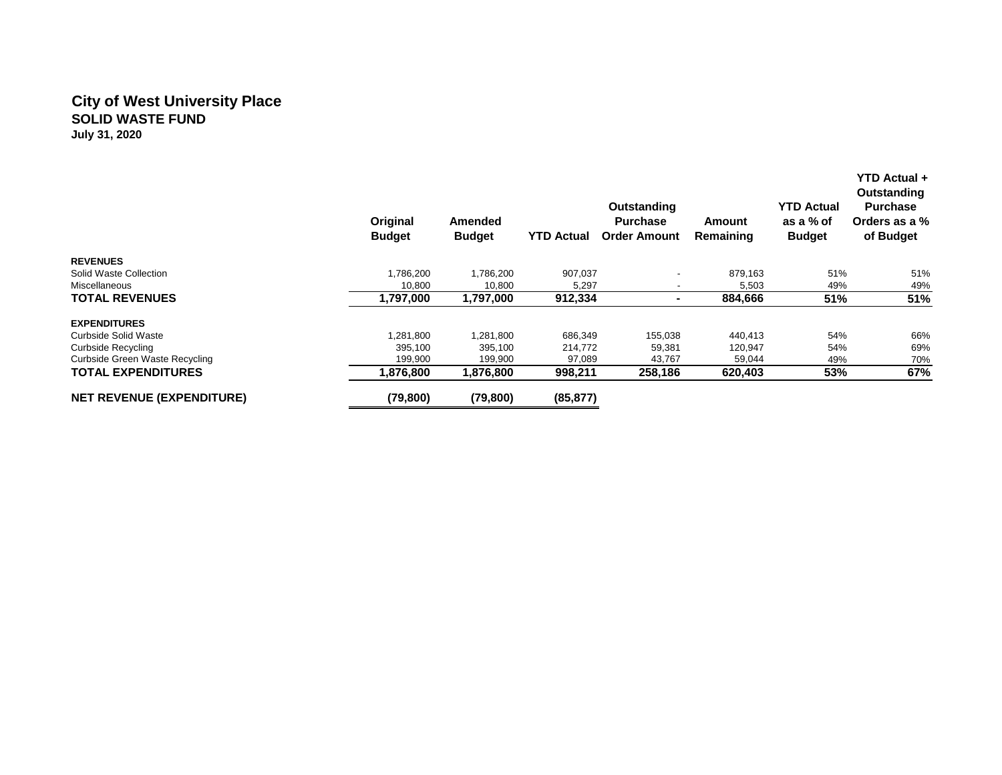## **City of West University Place SOLID WASTE FUND July 31, 2020**

|                                  | Original<br><b>Budget</b> | <b>Amended</b><br><b>Budget</b> | <b>YTD Actual</b> | Outstanding<br><b>Purchase</b><br><b>Order Amount</b> | Amount<br>Remaining | <b>YTD Actual</b><br>as a % of<br><b>Budget</b> | <b>YTD Actual +</b><br>Outstanding<br><b>Purchase</b><br>Orders as a %<br>of Budget |
|----------------------------------|---------------------------|---------------------------------|-------------------|-------------------------------------------------------|---------------------|-------------------------------------------------|-------------------------------------------------------------------------------------|
| <b>REVENUES</b>                  |                           |                                 |                   |                                                       |                     |                                                 |                                                                                     |
| Solid Waste Collection           | 1,786,200                 | 1,786,200                       | 907,037           |                                                       | 879.163             | 51%                                             | 51%                                                                                 |
| Miscellaneous                    | 10,800                    | 10,800                          | 5,297             |                                                       | 5,503               | 49%                                             | 49%                                                                                 |
| <b>TOTAL REVENUES</b>            | 1,797,000                 | 1,797,000                       | 912,334           |                                                       | 884,666             | 51%                                             | 51%                                                                                 |
| <b>EXPENDITURES</b>              |                           |                                 |                   |                                                       |                     |                                                 |                                                                                     |
| Curbside Solid Waste             | 1,281,800                 | 1,281,800                       | 686,349           | 155,038                                               | 440,413             | 54%                                             | 66%                                                                                 |
| <b>Curbside Recycling</b>        | 395,100                   | 395,100                         | 214,772           | 59,381                                                | 120,947             | 54%                                             | 69%                                                                                 |
| Curbside Green Waste Recycling   | 199,900                   | 199,900                         | 97,089            | 43,767                                                | 59,044              | 49%                                             | 70%                                                                                 |
| <b>TOTAL EXPENDITURES</b>        | 1,876,800                 | 1,876,800                       | 998,211           | 258,186                                               | 620,403             | 53%                                             | 67%                                                                                 |
| <b>NET REVENUE (EXPENDITURE)</b> | (79, 800)                 | (79, 800)                       | (85, 877)         |                                                       |                     |                                                 |                                                                                     |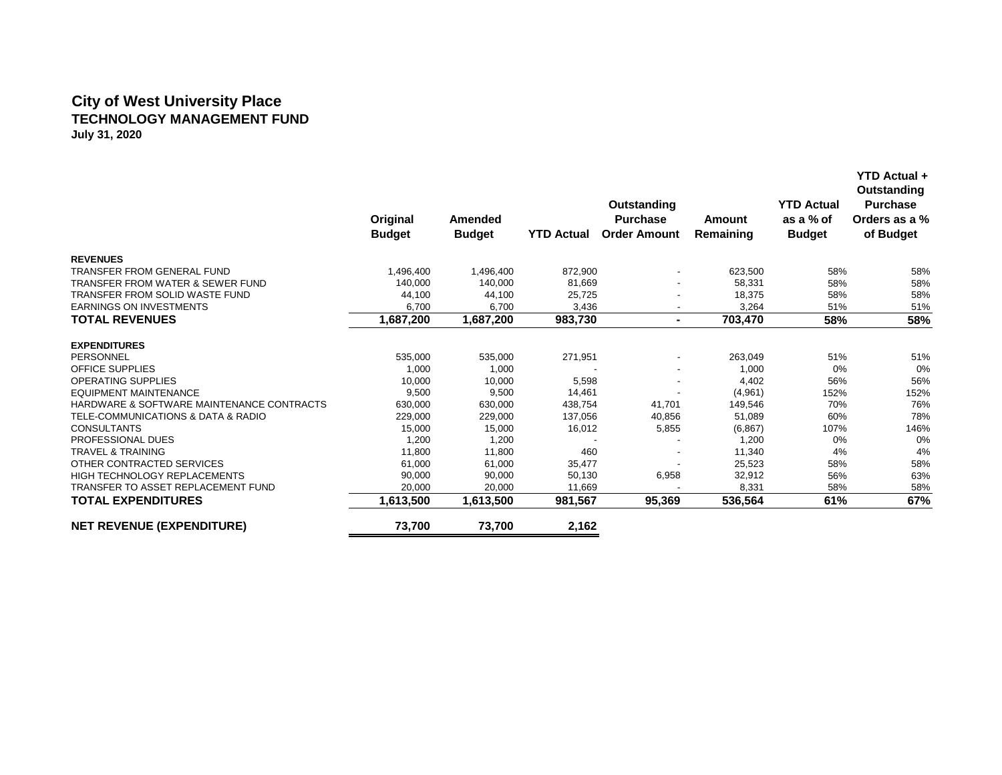## **City of West University Place TECHNOLOGY MANAGEMENT FUND July 31, 2020**

|                                             | Original<br><b>Budget</b> | Amended<br><b>Budget</b> | <b>YTD Actual</b> | <b>Outstanding</b><br><b>Purchase</b><br><b>Order Amount</b> | <b>Amount</b><br>Remaining | <b>YTD Actual</b><br>as a % of<br><b>Budget</b> | YTD Actual +<br>Outstanding<br><b>Purchase</b><br>Orders as a %<br>of Budget |
|---------------------------------------------|---------------------------|--------------------------|-------------------|--------------------------------------------------------------|----------------------------|-------------------------------------------------|------------------------------------------------------------------------------|
| <b>REVENUES</b>                             |                           |                          |                   |                                                              |                            |                                                 |                                                                              |
| <b>TRANSFER FROM GENERAL FUND</b>           | 1,496,400                 | 1,496,400                | 872,900           |                                                              | 623,500                    | 58%                                             | 58%                                                                          |
| <b>TRANSFER FROM WATER &amp; SEWER FUND</b> | 140,000                   | 140,000                  | 81,669            |                                                              | 58,331                     | 58%                                             | 58%                                                                          |
| TRANSFER FROM SOLID WASTE FUND              | 44,100                    | 44,100                   | 25,725            |                                                              | 18,375                     | 58%                                             | 58%                                                                          |
| <b>EARNINGS ON INVESTMENTS</b>              | 6,700                     | 6,700                    | 3,436             |                                                              | 3,264                      | 51%                                             | 51%                                                                          |
| <b>TOTAL REVENUES</b>                       | 1,687,200                 | 1,687,200                | 983,730           | ۰.                                                           | 703,470                    | 58%                                             | 58%                                                                          |
| <b>EXPENDITURES</b>                         |                           |                          |                   |                                                              |                            |                                                 |                                                                              |
| PERSONNEL                                   | 535,000                   | 535,000                  | 271,951           |                                                              | 263,049                    | 51%                                             | 51%                                                                          |
| <b>OFFICE SUPPLIES</b>                      | 1,000                     | 1,000                    |                   |                                                              | 1,000                      | 0%                                              | 0%                                                                           |
| <b>OPERATING SUPPLIES</b>                   | 10,000                    | 10,000                   | 5,598             |                                                              | 4,402                      | 56%                                             | 56%                                                                          |
| <b>EQUIPMENT MAINTENANCE</b>                | 9,500                     | 9,500                    | 14,461            |                                                              | (4,961)                    | 152%                                            | 152%                                                                         |
| HARDWARE & SOFTWARE MAINTENANCE CONTRACTS   | 630,000                   | 630,000                  | 438,754           | 41,701                                                       | 149,546                    | 70%                                             | 76%                                                                          |
| TELE-COMMUNICATIONS & DATA & RADIO          | 229,000                   | 229,000                  | 137,056           | 40,856                                                       | 51,089                     | 60%                                             | 78%                                                                          |
| <b>CONSULTANTS</b>                          | 15,000                    | 15,000                   | 16,012            | 5,855                                                        | (6,867)                    | 107%                                            | 146%                                                                         |
| PROFESSIONAL DUES                           | 1,200                     | 1,200                    |                   |                                                              | 1,200                      | 0%                                              | 0%                                                                           |
| <b>TRAVEL &amp; TRAINING</b>                | 11,800                    | 11,800                   | 460               |                                                              | 11,340                     | 4%                                              | 4%                                                                           |
| OTHER CONTRACTED SERVICES                   | 61,000                    | 61,000                   | 35,477            |                                                              | 25,523                     | 58%                                             | 58%                                                                          |
| <b>HIGH TECHNOLOGY REPLACEMENTS</b>         | 90,000                    | 90,000                   | 50,130            | 6,958                                                        | 32,912                     | 56%                                             | 63%                                                                          |
| TRANSFER TO ASSET REPLACEMENT FUND          | 20,000                    | 20,000                   | 11,669            |                                                              | 8,331                      | 58%                                             | 58%                                                                          |
| <b>TOTAL EXPENDITURES</b>                   | 1,613,500                 | 1,613,500                | 981,567           | 95,369                                                       | 536,564                    | 61%                                             | 67%                                                                          |
| <b>NET REVENUE (EXPENDITURE)</b>            | 73,700                    | 73,700                   | 2,162             |                                                              |                            |                                                 |                                                                              |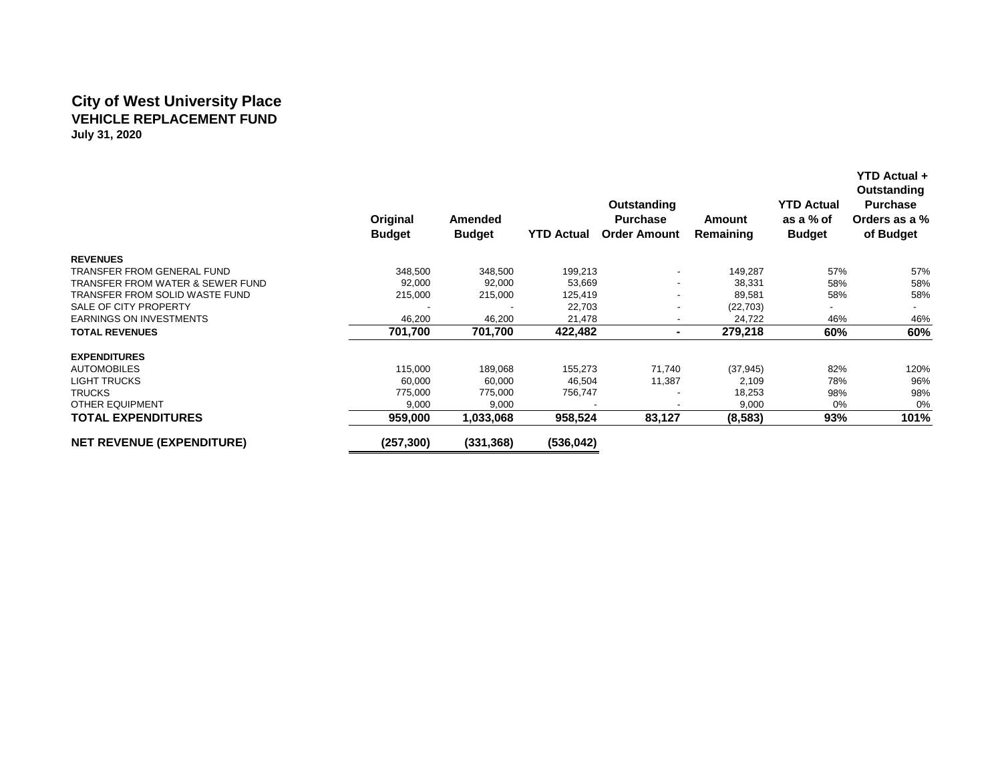## **City of West University Place VEHICLE REPLACEMENT FUND July 31, 2020**

|                                             | Original<br><b>Budget</b> | Amended<br><b>Budget</b> | <b>YTD Actual</b> | Outstanding<br><b>Purchase</b><br><b>Order Amount</b> | Amount<br>Remaining | <b>YTD Actual</b><br>as a % of<br><b>Budget</b> | <b>YTD Actual +</b><br>Outstanding<br><b>Purchase</b><br>Orders as a %<br>of Budget |
|---------------------------------------------|---------------------------|--------------------------|-------------------|-------------------------------------------------------|---------------------|-------------------------------------------------|-------------------------------------------------------------------------------------|
| <b>REVENUES</b>                             |                           |                          |                   |                                                       |                     |                                                 |                                                                                     |
| TRANSFER FROM GENERAL FUND                  | 348,500                   | 348,500                  | 199,213           |                                                       | 149,287             | 57%                                             | 57%                                                                                 |
| <b>TRANSFER FROM WATER &amp; SEWER FUND</b> | 92,000                    | 92,000                   | 53,669            | -                                                     | 38,331              | 58%                                             | 58%                                                                                 |
| TRANSFER FROM SOLID WASTE FUND              | 215,000                   | 215,000                  | 125,419           |                                                       | 89,581              | 58%                                             | 58%                                                                                 |
| SALE OF CITY PROPERTY                       |                           |                          | 22,703            | -                                                     | (22, 703)           |                                                 |                                                                                     |
| <b>EARNINGS ON INVESTMENTS</b>              | 46,200                    | 46,200                   | 21,478            | -                                                     | 24,722              | 46%                                             | 46%                                                                                 |
| <b>TOTAL REVENUES</b>                       | 701,700                   | 701,700                  | 422,482           |                                                       | 279,218             | 60%                                             | 60%                                                                                 |
| <b>EXPENDITURES</b>                         |                           |                          |                   |                                                       |                     |                                                 |                                                                                     |
| <b>AUTOMOBILES</b>                          | 115,000                   | 189,068                  | 155,273           | 71,740                                                | (37, 945)           | 82%                                             | 120%                                                                                |
| <b>LIGHT TRUCKS</b>                         | 60,000                    | 60,000                   | 46,504            | 11,387                                                | 2,109               | 78%                                             | 96%                                                                                 |
| <b>TRUCKS</b>                               | 775,000                   | 775,000                  | 756,747           |                                                       | 18,253              | 98%                                             | 98%                                                                                 |
| <b>OTHER EQUIPMENT</b>                      | 9,000                     | 9,000                    |                   |                                                       | 9,000               | $0\%$                                           | 0%                                                                                  |
| <b>TOTAL EXPENDITURES</b>                   | 959,000                   | 1,033,068                | 958,524           | 83,127                                                | (8, 583)            | 93%                                             | 101%                                                                                |
| <b>NET REVENUE (EXPENDITURE)</b>            | (257, 300)                | (331,368)                | (536, 042)        |                                                       |                     |                                                 |                                                                                     |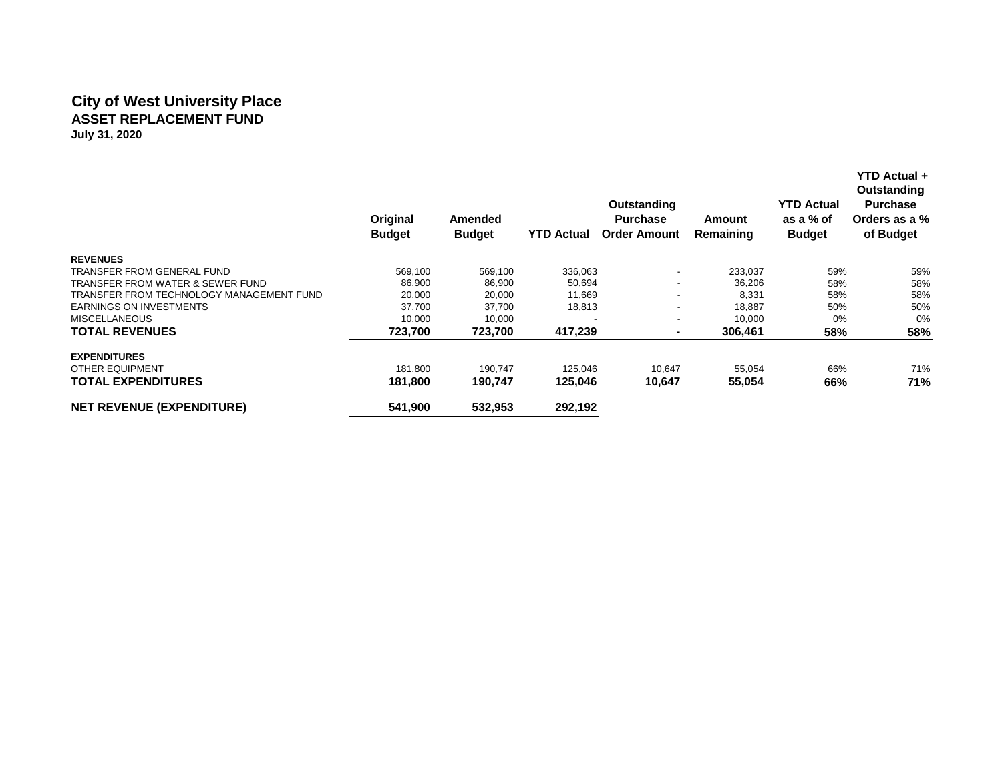## **City of West University Place ASSET REPLACEMENT FUND July 31, 2020**

|                                          | Original<br><b>Budget</b> | Amended<br><b>Budget</b> | <b>YTD Actual</b> | Outstanding<br><b>Purchase</b><br><b>Order Amount</b> | Amount<br>Remaining | <b>YTD Actual</b><br>as a % of<br><b>Budget</b> | YTD Actual +<br><b>Outstanding</b><br><b>Purchase</b><br>Orders as a %<br>of Budget |
|------------------------------------------|---------------------------|--------------------------|-------------------|-------------------------------------------------------|---------------------|-------------------------------------------------|-------------------------------------------------------------------------------------|
| <b>REVENUES</b>                          |                           |                          |                   |                                                       |                     |                                                 |                                                                                     |
| TRANSFER FROM GENERAL FUND               | 569,100                   | 569.100                  | 336,063           |                                                       | 233.037             | 59%                                             | 59%                                                                                 |
| TRANSFER FROM WATER & SEWER FUND         | 86,900                    | 86,900                   | 50,694            | -                                                     | 36,206              | 58%                                             | 58%                                                                                 |
| TRANSFER FROM TECHNOLOGY MANAGEMENT FUND | 20,000                    | 20,000                   | 11,669            |                                                       | 8,331               | 58%                                             | 58%                                                                                 |
| <b>EARNINGS ON INVESTMENTS</b>           | 37,700                    | 37,700                   | 18,813            | -                                                     | 18,887              | 50%                                             | 50%                                                                                 |
| <b>MISCELLANEOUS</b>                     | 10,000                    | 10,000                   |                   | -                                                     | 10,000              | 0%                                              | 0%                                                                                  |
| <b>TOTAL REVENUES</b>                    | 723,700                   | 723,700                  | 417,239           |                                                       | 306,461             | 58%                                             | 58%                                                                                 |
| <b>EXPENDITURES</b>                      |                           |                          |                   |                                                       |                     |                                                 |                                                                                     |
| <b>OTHER EQUIPMENT</b>                   | 181,800                   | 190,747                  | 125,046           | 10,647                                                | 55,054              | 66%                                             | 71%                                                                                 |
| <b>TOTAL EXPENDITURES</b>                | 181,800                   | 190,747                  | 125,046           | 10,647                                                | 55,054              | 66%                                             | 71%                                                                                 |
| <b>NET REVENUE (EXPENDITURE)</b>         | 541,900                   | 532,953                  | 292,192           |                                                       |                     |                                                 |                                                                                     |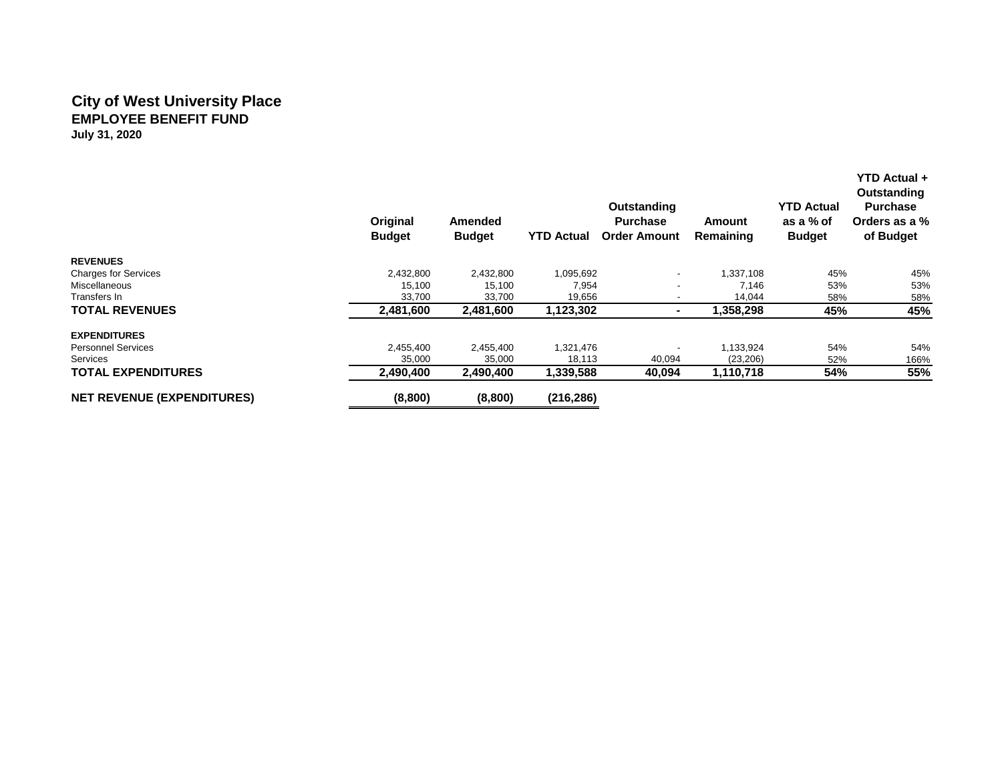## **City of West University Place EMPLOYEE BENEFIT FUND July 31, 2020**

|                                   | Original<br><b>Budget</b> | Amended<br><b>Budget</b> | <b>YTD Actual</b> | Outstanding<br><b>Purchase</b><br><b>Order Amount</b> | <b>Amount</b><br>Remaining | <b>YTD Actual</b><br>as a % of<br><b>Budget</b> | Outstanding<br><b>Purchase</b><br>Orders as a %<br>of Budget |
|-----------------------------------|---------------------------|--------------------------|-------------------|-------------------------------------------------------|----------------------------|-------------------------------------------------|--------------------------------------------------------------|
| <b>REVENUES</b>                   |                           |                          |                   |                                                       |                            |                                                 |                                                              |
| <b>Charges for Services</b>       | 2,432,800                 | 2,432,800                | 1,095,692         |                                                       | 1.337.108                  | 45%                                             | 45%                                                          |
| Miscellaneous                     | 15.100                    | 15,100                   | 7.954             |                                                       | 7,146                      | 53%                                             | 53%                                                          |
| Transfers In                      | 33,700                    | 33,700                   | 19,656            |                                                       | 14,044                     | 58%                                             | 58%                                                          |
| <b>TOTAL REVENUES</b>             | 2,481,600                 | 2,481,600                | 1,123,302         |                                                       | 1,358,298                  | 45%                                             | 45%                                                          |
| <b>EXPENDITURES</b>               |                           |                          |                   |                                                       |                            |                                                 |                                                              |
| <b>Personnel Services</b>         | 2,455,400                 | 2,455,400                | 1,321,476         |                                                       | 1,133,924                  | 54%                                             | 54%                                                          |
| <b>Services</b>                   | 35,000                    | 35,000                   | 18,113            | 40,094                                                | (23, 206)                  | 52%                                             | 166%                                                         |
| <b>TOTAL EXPENDITURES</b>         | 2.490.400                 | 2,490,400                | 1,339,588         | 40,094                                                | 1,110,718                  | 54%                                             | 55%                                                          |
| <b>NET REVENUE (EXPENDITURES)</b> | (8,800)                   | (8,800)                  | (216, 286)        |                                                       |                            |                                                 |                                                              |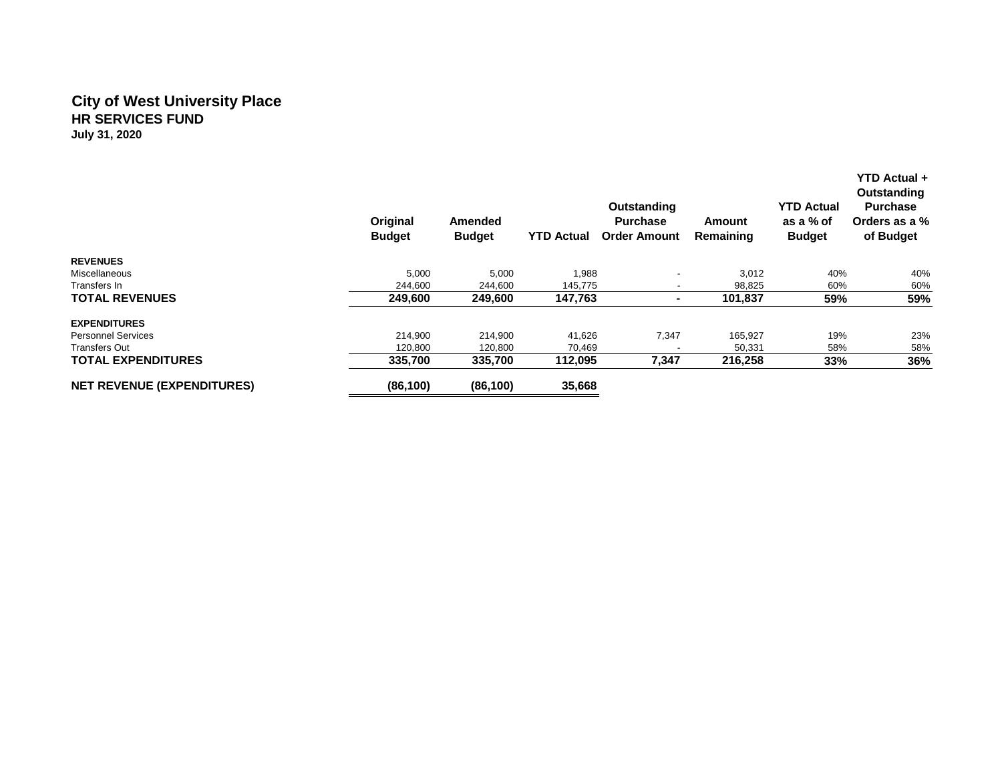## **City of West University Place HR SERVICES FUND July 31, 2020**

|                                   | Original<br><b>Budget</b> | <b>Amended</b><br><b>Budget</b> | <b>YTD Actual</b> | Outstanding<br><b>Purchase</b><br><b>Order Amount</b> | Amount<br>Remaining | <b>YTD Actual</b><br>as a % of<br><b>Budget</b> | <b>YTD Actual +</b><br>Outstanding<br><b>Purchase</b><br>Orders as a %<br>of Budget |
|-----------------------------------|---------------------------|---------------------------------|-------------------|-------------------------------------------------------|---------------------|-------------------------------------------------|-------------------------------------------------------------------------------------|
| <b>REVENUES</b>                   |                           |                                 |                   |                                                       |                     |                                                 |                                                                                     |
| <b>Miscellaneous</b>              | 5,000                     | 5,000                           | 1,988             |                                                       | 3,012               | 40%                                             | 40%                                                                                 |
| Transfers In                      | 244,600                   | 244,600                         | 145,775           |                                                       | 98,825              | 60%                                             | 60%                                                                                 |
| <b>TOTAL REVENUES</b>             | 249,600                   | 249,600                         | 147,763           |                                                       | 101,837             | 59%                                             | 59%                                                                                 |
| <b>EXPENDITURES</b>               |                           |                                 |                   |                                                       |                     |                                                 |                                                                                     |
| <b>Personnel Services</b>         | 214,900                   | 214,900                         | 41,626            | 7,347                                                 | 165,927             | 19%                                             | 23%                                                                                 |
| Transfers Out                     | 120,800                   | 120,800                         | 70,469            |                                                       | 50,331              | 58%                                             | 58%                                                                                 |
| <b>TOTAL EXPENDITURES</b>         | 335,700                   | 335,700                         | 112,095           | 7,347                                                 | 216,258             | 33%                                             | 36%                                                                                 |
| <b>NET REVENUE (EXPENDITURES)</b> | (86, 100)                 | (86, 100)                       | 35,668            |                                                       |                     |                                                 |                                                                                     |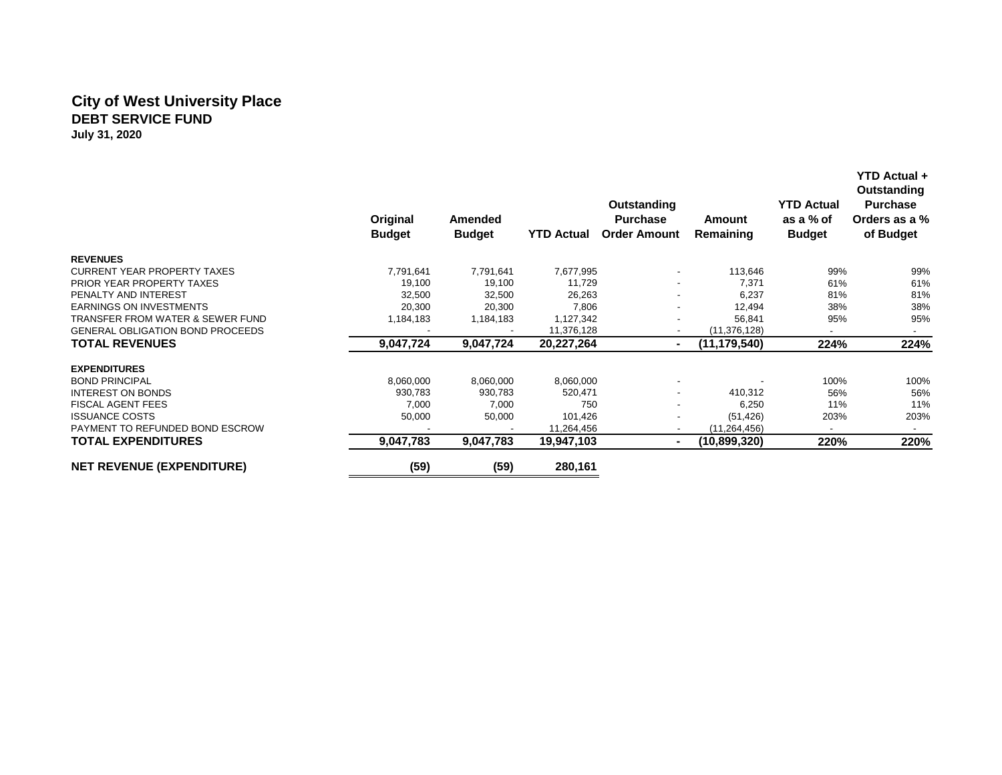## **City of West University Place DEBT SERVICE FUND July 31, 2020**

|                                             | Original      | Amended       |                   | Outstanding<br><b>Purchase</b> | Amount         | <b>YTD Actual</b><br>as a % of | Outstanding<br><b>Purchase</b><br>Orders as a % |
|---------------------------------------------|---------------|---------------|-------------------|--------------------------------|----------------|--------------------------------|-------------------------------------------------|
|                                             | <b>Budget</b> | <b>Budget</b> | <b>YTD Actual</b> | <b>Order Amount</b>            | Remaining      | <b>Budget</b>                  | of Budget                                       |
| <b>REVENUES</b>                             |               |               |                   |                                |                |                                |                                                 |
| <b>CURRENT YEAR PROPERTY TAXES</b>          | 7,791,641     | 7,791,641     | 7,677,995         |                                | 113,646        | 99%                            | 99%                                             |
| PRIOR YEAR PROPERTY TAXES                   | 19,100        | 19,100        | 11,729            |                                | 7,371          | 61%                            | 61%                                             |
| PENALTY AND INTEREST                        | 32,500        | 32,500        | 26,263            |                                | 6,237          | 81%                            | 81%                                             |
| <b>EARNINGS ON INVESTMENTS</b>              | 20,300        | 20,300        | 7,806             |                                | 12,494         | 38%                            | 38%                                             |
| <b>TRANSFER FROM WATER &amp; SEWER FUND</b> | 1,184,183     | 1,184,183     | 1,127,342         |                                | 56,841         | 95%                            | 95%                                             |
| <b>GENERAL OBLIGATION BOND PROCEEDS</b>     |               |               | 11,376,128        |                                | (11, 376, 128) | ۰.                             | $\sim$                                          |
| <b>TOTAL REVENUES</b>                       | 9,047,724     | 9,047,724     | 20,227,264        | $\blacksquare$                 | (11, 179, 540) | 224%                           | 224%                                            |
| <b>EXPENDITURES</b>                         |               |               |                   |                                |                |                                |                                                 |
| <b>BOND PRINCIPAL</b>                       | 8,060,000     | 8,060,000     | 8,060,000         |                                |                | 100%                           | 100%                                            |
| <b>INTEREST ON BONDS</b>                    | 930,783       | 930,783       | 520,471           |                                | 410,312        | 56%                            | 56%                                             |
| <b>FISCAL AGENT FEES</b>                    | 7,000         | 7,000         | 750               |                                | 6,250          | 11%                            | 11%                                             |
| <b>ISSUANCE COSTS</b>                       | 50,000        | 50,000        | 101,426           |                                | (51, 426)      | 203%                           | 203%                                            |
| PAYMENT TO REFUNDED BOND ESCROW             |               |               | 11,264,456        |                                | (11, 264, 456) | $\sim$                         |                                                 |
| <b>TOTAL EXPENDITURES</b>                   | 9,047,783     | 9,047,783     | 19,947,103        | ٠                              | (10,899,320)   | 220%                           | 220%                                            |
| <b>NET REVENUE (EXPENDITURE)</b>            | (59)          | (59)          | 280,161           |                                |                |                                |                                                 |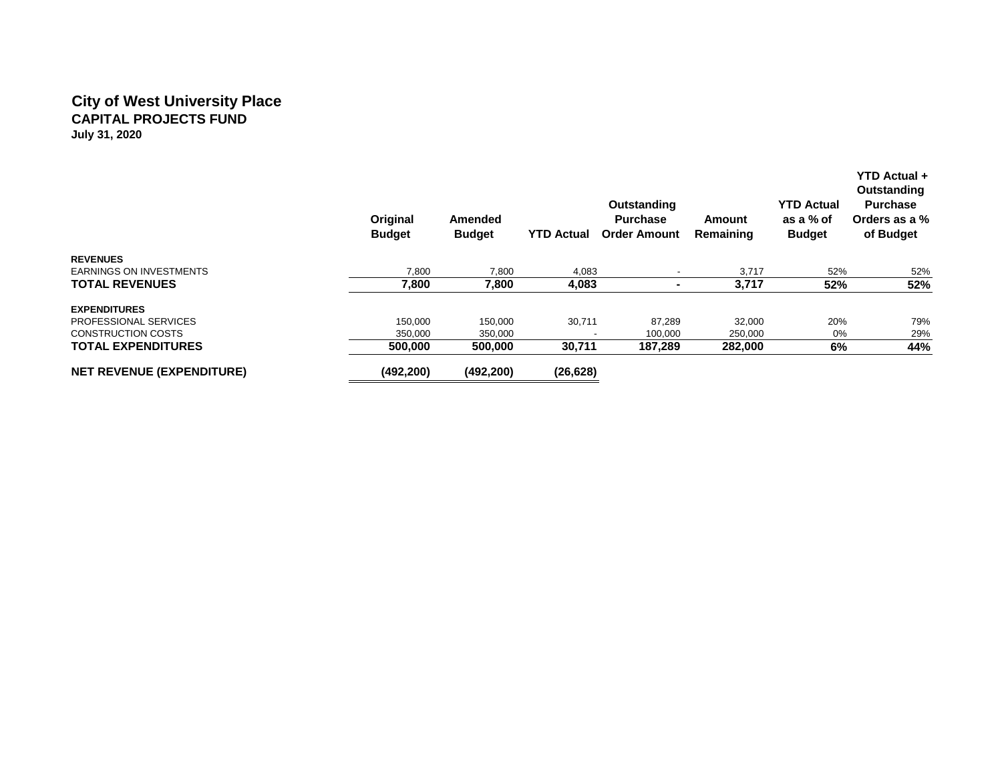## **City of West University Place CAPITAL PROJECTS FUND July 31, 2020**

|                                  | Original<br><b>Budget</b> | Amended<br><b>Budget</b> | <b>YTD Actual</b> | Outstanding<br><b>Purchase</b><br><b>Order Amount</b> | Amount<br>Remaining | <b>YTD Actual</b><br>as a % of<br><b>Budget</b> | YTD Actual +<br>Outstanding<br><b>Purchase</b><br>Orders as a %<br>of Budget |
|----------------------------------|---------------------------|--------------------------|-------------------|-------------------------------------------------------|---------------------|-------------------------------------------------|------------------------------------------------------------------------------|
| <b>REVENUES</b>                  |                           |                          |                   |                                                       |                     |                                                 |                                                                              |
| <b>EARNINGS ON INVESTMENTS</b>   | 7,800                     | 7,800                    | 4,083             |                                                       | 3,717               | 52%                                             | 52%                                                                          |
| <b>TOTAL REVENUES</b>            | 7,800                     | 7,800                    | 4,083             | $\blacksquare$                                        | 3,717               | 52%                                             | 52%                                                                          |
| <b>EXPENDITURES</b>              |                           |                          |                   |                                                       |                     |                                                 |                                                                              |
| PROFESSIONAL SERVICES            | 150,000                   | 150,000                  | 30,711            | 87,289                                                | 32,000              | 20%                                             | 79%                                                                          |
| <b>CONSTRUCTION COSTS</b>        | 350,000                   | 350,000                  |                   | 100,000                                               | 250,000             | 0%                                              | 29%                                                                          |
| <b>TOTAL EXPENDITURES</b>        | 500,000                   | 500,000                  | 30,711            | 187,289                                               | 282,000             | 6%                                              | 44%                                                                          |
| <b>NET REVENUE (EXPENDITURE)</b> | (492, 200)                | (492, 200)               | (26, 628)         |                                                       |                     |                                                 |                                                                              |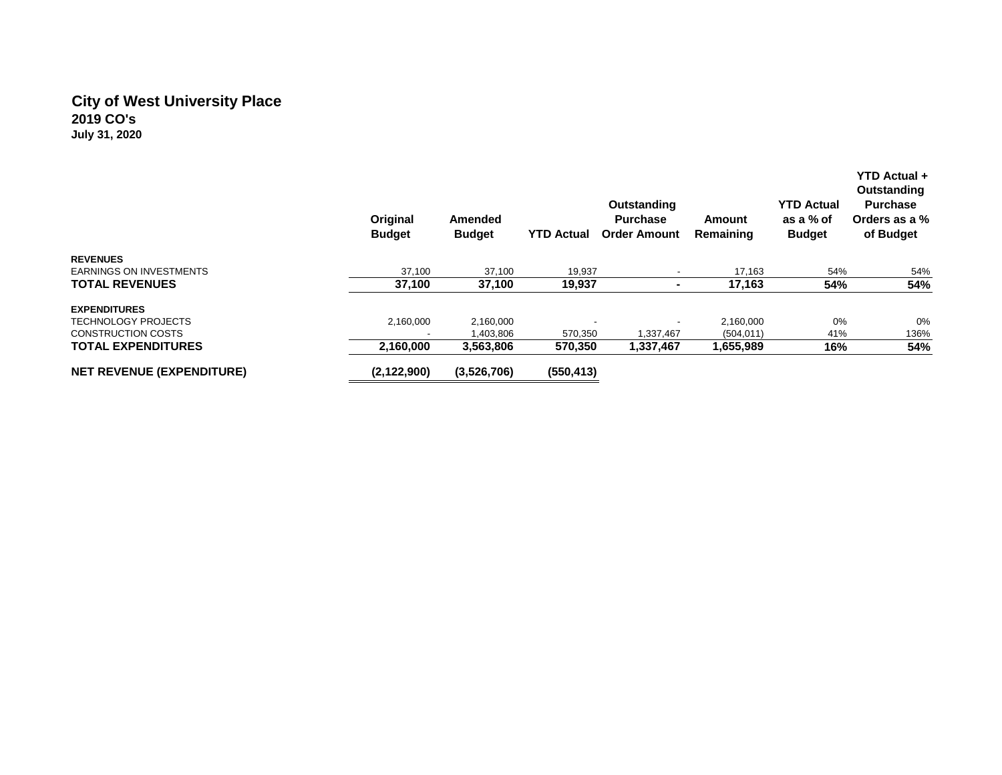# **City of West University Place 2019 CO's July 31, 2020**

|                                  | Original<br><b>Budget</b> | Amended<br><b>Budget</b> | <b>YTD Actual</b> | <b>Outstanding</b><br><b>Purchase</b><br><b>Order Amount</b> | Amount<br>Remaining | <b>YTD Actual</b><br>as a % of<br><b>Budget</b> | YTD Actual +<br>Outstanding<br><b>Purchase</b><br>Orders as a %<br>of Budget |
|----------------------------------|---------------------------|--------------------------|-------------------|--------------------------------------------------------------|---------------------|-------------------------------------------------|------------------------------------------------------------------------------|
| <b>REVENUES</b>                  |                           |                          |                   |                                                              |                     |                                                 |                                                                              |
| <b>EARNINGS ON INVESTMENTS</b>   | 37,100                    | 37,100                   | 19,937            |                                                              | 17,163              | 54%                                             | 54%                                                                          |
| <b>TOTAL REVENUES</b>            | 37,100                    | 37,100                   | 19,937            | ۰                                                            | 17,163              | 54%                                             | 54%                                                                          |
| <b>EXPENDITURES</b>              |                           |                          |                   |                                                              |                     |                                                 |                                                                              |
| TECHNOLOGY PROJECTS              | 2,160,000                 | 2,160,000                |                   |                                                              | 2,160,000           | 0%                                              | 0%                                                                           |
| <b>CONSTRUCTION COSTS</b>        |                           | 1,403,806                | 570,350           | 1,337,467                                                    | (504, 011)          | 41%                                             | 136%                                                                         |
| <b>TOTAL EXPENDITURES</b>        | 2,160,000                 | 3,563,806                | 570,350           | 1,337,467                                                    | 1,655,989           | 16%                                             | 54%                                                                          |
| <b>NET REVENUE (EXPENDITURE)</b> | (2, 122, 900)             | (3,526,706)              | (550, 413)        |                                                              |                     |                                                 |                                                                              |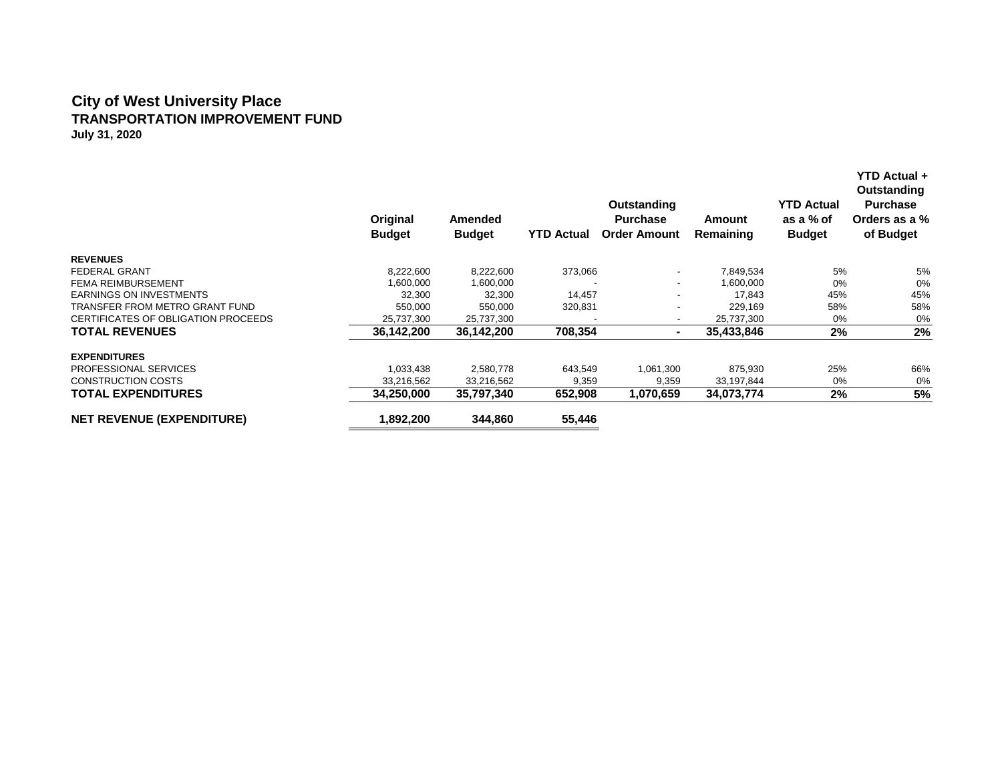## **City of West University Place TRANSPORTATION IMPROVEMENT FUND July 31, 2020**

|                                     | Original<br><b>Budget</b> | Amended<br><b>Budget</b> | <b>YTD Actual</b> | Outstanding<br><b>Purchase</b><br><b>Order Amount</b> | Amount<br>Remaining | <b>YTD Actual</b><br>as a % of<br><b>Budget</b> | YTD Actual +<br>Outstanding<br><b>Purchase</b><br>Orders as a %<br>of Budget |
|-------------------------------------|---------------------------|--------------------------|-------------------|-------------------------------------------------------|---------------------|-------------------------------------------------|------------------------------------------------------------------------------|
| <b>REVENUES</b>                     |                           |                          |                   |                                                       |                     |                                                 |                                                                              |
| <b>FEDERAL GRANT</b>                | 8,222,600                 | 8,222,600                | 373,066           |                                                       | 7,849,534           | 5%                                              | 5%                                                                           |
| <b>FEMA REIMBURSEMENT</b>           | 1,600,000                 | 1,600,000                |                   | $\overline{\phantom{a}}$                              | 1,600,000           | $0\%$                                           | 0%                                                                           |
| <b>EARNINGS ON INVESTMENTS</b>      | 32,300                    | 32,300                   | 14,457            |                                                       | 17.843              | 45%                                             | 45%                                                                          |
| TRANSFER FROM METRO GRANT FUND      | 550,000                   | 550,000                  | 320,831           |                                                       | 229,169             | 58%                                             | 58%                                                                          |
| CERTIFICATES OF OBLIGATION PROCEEDS | 25,737,300                | 25,737,300               |                   |                                                       | 25,737,300          | $0\%$                                           | 0%                                                                           |
| <b>TOTAL REVENUES</b>               | 36,142,200                | 36,142,200               | 708,354           | $\blacksquare$                                        | 35,433,846          | 2%                                              | 2%                                                                           |
| <b>EXPENDITURES</b>                 |                           |                          |                   |                                                       |                     |                                                 |                                                                              |
| PROFESSIONAL SERVICES               | 1,033,438                 | 2,580,778                | 643,549           | 1,061,300                                             | 875,930             | 25%                                             | 66%                                                                          |
| <b>CONSTRUCTION COSTS</b>           | 33,216,562                | 33,216,562               | 9,359             | 9,359                                                 | 33,197,844          | $0\%$                                           | 0%                                                                           |
| <b>TOTAL EXPENDITURES</b>           | 34,250,000                | 35,797,340               | 652,908           | 1,070,659                                             | 34,073,774          | 2%                                              | 5%                                                                           |
| <b>NET REVENUE (EXPENDITURE)</b>    | 1,892,200                 | 344,860                  | 55,446            |                                                       |                     |                                                 |                                                                              |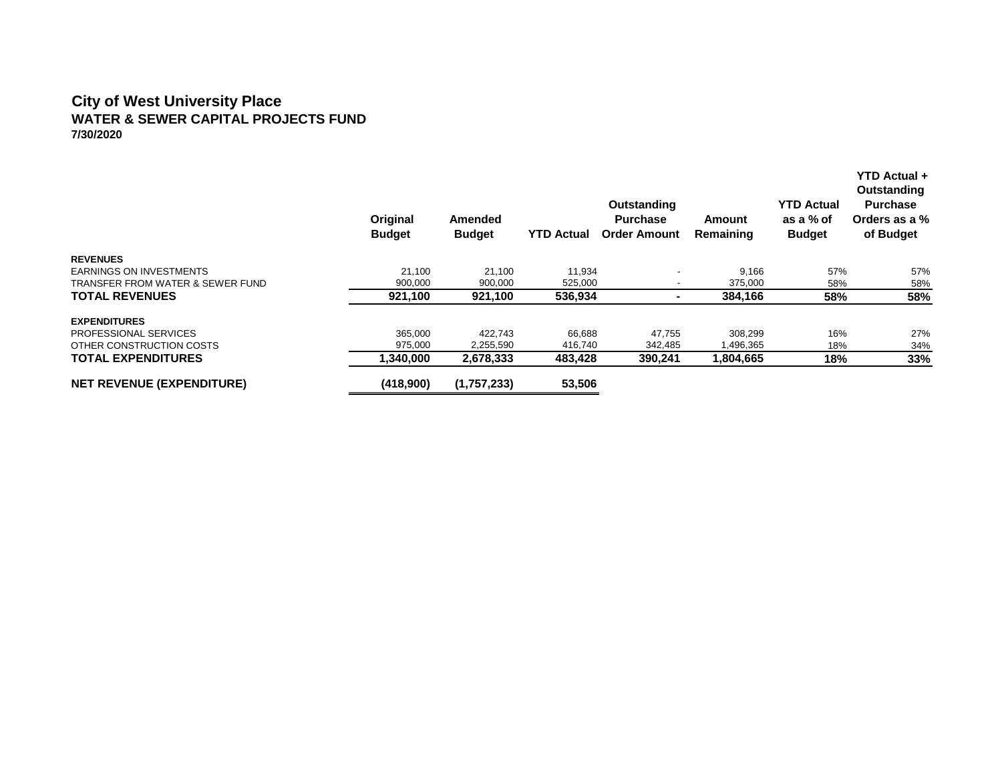#### **City of West University Place WATER & SEWER CAPITAL PROJECTS FUND 7/30/2020**

|                                  | Original<br><b>Budget</b> | Amended<br><b>Budget</b> | <b>YTD Actual</b> | Outstanding<br><b>Purchase</b><br><b>Order Amount</b> | Amount<br>Remaining | <b>YTD Actual</b><br>as a % of<br><b>Budget</b> | <b>YTD Actual +</b><br>Outstanding<br><b>Purchase</b><br>Orders as a %<br>of Budget |
|----------------------------------|---------------------------|--------------------------|-------------------|-------------------------------------------------------|---------------------|-------------------------------------------------|-------------------------------------------------------------------------------------|
| <b>REVENUES</b>                  |                           |                          |                   |                                                       |                     |                                                 |                                                                                     |
| EARNINGS ON INVESTMENTS          | 21,100                    | 21,100                   | 11,934            |                                                       | 9,166               | 57%                                             | 57%                                                                                 |
| TRANSFER FROM WATER & SEWER FUND | 900,000                   | 900,000                  | 525,000           |                                                       | 375,000             | 58%                                             | 58%                                                                                 |
| <b>TOTAL REVENUES</b>            | 921,100                   | 921,100                  | 536,934           |                                                       | 384,166             | 58%                                             | 58%                                                                                 |
| <b>EXPENDITURES</b>              |                           |                          |                   |                                                       |                     |                                                 |                                                                                     |
| PROFESSIONAL SERVICES            | 365,000                   | 422.743                  | 66.688            | 47.755                                                | 308.299             | 16%                                             | 27%                                                                                 |
| OTHER CONSTRUCTION COSTS         | 975,000                   | 2,255,590                | 416.740           | 342,485                                               | 1,496,365           | 18%                                             | 34%                                                                                 |
| <b>TOTAL EXPENDITURES</b>        | 1.340.000                 | 2.678.333                | 483,428           | 390.241                                               | 1,804,665           | 18%                                             | 33%                                                                                 |
| <b>NET REVENUE (EXPENDITURE)</b> | (418,900)                 | (1,757,233)              | 53,506            |                                                       |                     |                                                 |                                                                                     |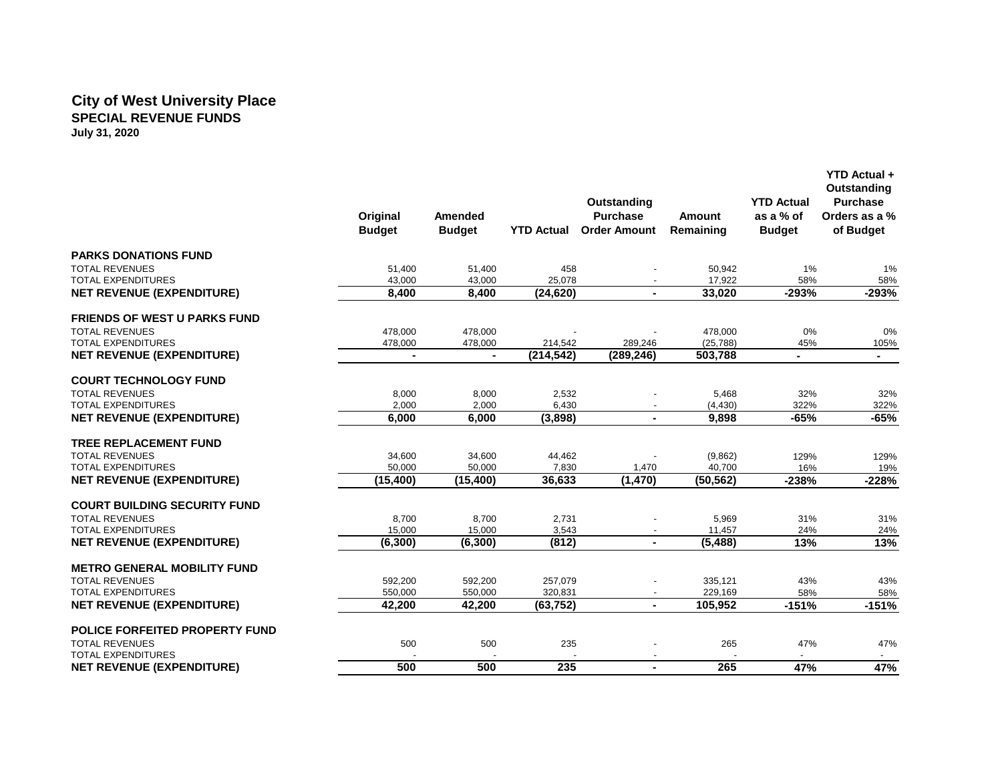#### **City of West University Place SPECIAL REVENUE FUNDS July 31, 2020**

|                                       |                |                |                   |                     |           |                   | Outstanding<br><b>Purchase</b><br>Orders as a % |
|---------------------------------------|----------------|----------------|-------------------|---------------------|-----------|-------------------|-------------------------------------------------|
|                                       |                |                |                   | Outstanding         |           | <b>YTD Actual</b> |                                                 |
|                                       | Original       | <b>Amended</b> |                   | <b>Purchase</b>     | Amount    | as a % of         |                                                 |
|                                       | <b>Budget</b>  | <b>Budget</b>  | <b>YTD Actual</b> | <b>Order Amount</b> | Remaining | <b>Budget</b>     | of Budget                                       |
| <b>PARKS DONATIONS FUND</b>           |                |                |                   |                     |           |                   |                                                 |
| <b>TOTAL REVENUES</b>                 | 51.400         | 51,400         | 458               |                     | 50.942    | 1%                | 1%                                              |
| <b>TOTAL EXPENDITURES</b>             | 43,000         | 43,000         | 25,078            |                     | 17,922    | 58%               | 58%                                             |
| <b>NET REVENUE (EXPENDITURE)</b>      | 8.400          | 8,400          | (24, 620)         |                     | 33,020    | $-293%$           | $-293%$                                         |
| <b>FRIENDS OF WEST U PARKS FUND</b>   |                |                |                   |                     |           |                   |                                                 |
| <b>TOTAL REVENUES</b>                 | 478,000        | 478,000        |                   |                     | 478,000   | 0%                | 0%                                              |
| <b>TOTAL EXPENDITURES</b>             | 478,000        | 478,000        | 214,542           | 289,246             | (25, 788) | 45%               | 105%                                            |
| <b>NET REVENUE (EXPENDITURE)</b>      | $\blacksquare$ | $\sim$         | (214, 542)        | (289, 246)          | 503.788   | $\blacksquare$    | $\blacksquare$                                  |
| <b>COURT TECHNOLOGY FUND</b>          |                |                |                   |                     |           |                   |                                                 |
| <b>TOTAL REVENUES</b>                 | 8,000          | 8,000          | 2,532             |                     | 5,468     | 32%               | 32%                                             |
| <b>TOTAL EXPENDITURES</b>             | 2,000          | 2,000          | 6,430             |                     | (4, 430)  | 322%              | 322%                                            |
| <b>NET REVENUE (EXPENDITURE)</b>      | 6,000          | 6,000          | (3,898)           | $\blacksquare$      | 9,898     | $-65%$            | $-65%$                                          |
| <b>TREE REPLACEMENT FUND</b>          |                |                |                   |                     |           |                   |                                                 |
| <b>TOTAL REVENUES</b>                 | 34,600         | 34,600         | 44,462            |                     | (9,862)   | 129%              | 129%                                            |
| <b>TOTAL EXPENDITURES</b>             | 50.000         | 50,000         | 7,830             | 1,470               | 40.700    | 16%               | 19%                                             |
| <b>NET REVENUE (EXPENDITURE)</b>      | (15, 400)      | (15, 400)      | 36,633            | (1,470)             | (50, 562) | $-238%$           | $-228%$                                         |
| <b>COURT BUILDING SECURITY FUND</b>   |                |                |                   |                     |           |                   |                                                 |
| <b>TOTAL REVENUES</b>                 | 8,700          | 8,700          | 2,731             |                     | 5,969     | 31%               | 31%                                             |
| <b>TOTAL EXPENDITURES</b>             | 15,000         | 15,000         | 3,543             |                     | 11,457    | 24%               | 24%                                             |
| <b>NET REVENUE (EXPENDITURE)</b>      | (6, 300)       | (6, 300)       | (812)             | $\blacksquare$      | (5, 488)  | 13%               | 13%                                             |
| <b>METRO GENERAL MOBILITY FUND</b>    |                |                |                   |                     |           |                   |                                                 |
| <b>TOTAL REVENUES</b>                 | 592,200        | 592,200        | 257,079           |                     | 335,121   | 43%               | 43%                                             |
| <b>TOTAL EXPENDITURES</b>             | 550,000        | 550,000        | 320,831           |                     | 229,169   | 58%               | 58%                                             |
| <b>NET REVENUE (EXPENDITURE)</b>      | 42,200         | 42,200         | (63, 752)         | $\blacksquare$      | 105,952   | $-151%$           | $-151%$                                         |
| <b>POLICE FORFEITED PROPERTY FUND</b> |                |                |                   |                     |           |                   |                                                 |
| <b>TOTAL REVENUES</b>                 | 500            | 500            | 235               |                     | 265       | 47%               | 47%                                             |
| <b>TOTAL EXPENDITURES</b>             |                |                |                   |                     |           |                   | $\sim$                                          |
| <b>NET REVENUE (EXPENDITURE)</b>      | 500            | 500            | 235               | $\blacksquare$      | 265       | 47%               | 47%                                             |